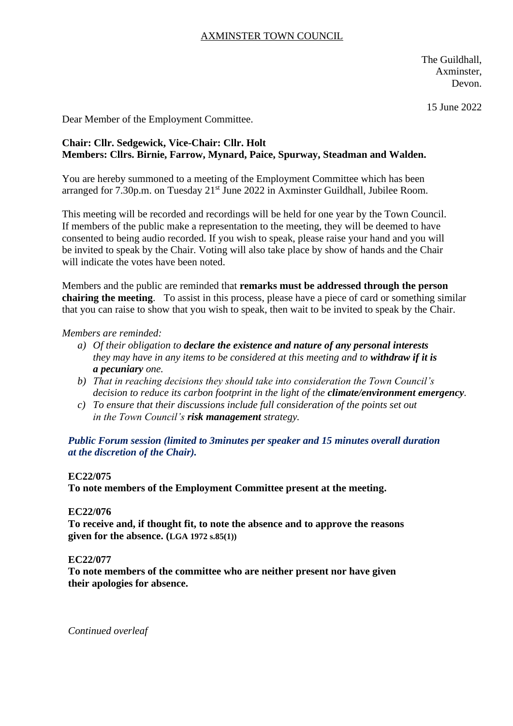# AXMINSTER TOWN COUNCIL

The Guildhall, Axminster, Devon.

15 June 2022

Dear Member of the Employment Committee.

# **Chair: Cllr. Sedgewick, Vice-Chair: Cllr. Holt Members: Cllrs. Birnie, Farrow, Mynard, Paice, Spurway, Steadman and Walden.**

You are hereby summoned to a meeting of the Employment Committee which has been arranged for 7.30p.m. on Tuesday 21<sup>st</sup> June 2022 in Axminster Guildhall, Jubilee Room.

This meeting will be recorded and recordings will be held for one year by the Town Council. If members of the public make a representation to the meeting, they will be deemed to have consented to being audio recorded. If you wish to speak, please raise your hand and you will be invited to speak by the Chair. Voting will also take place by show of hands and the Chair will indicate the votes have been noted.

Members and the public are reminded that **remarks must be addressed through the person chairing the meeting**. To assist in this process, please have a piece of card or something similar that you can raise to show that you wish to speak, then wait to be invited to speak by the Chair.

#### *Members are reminded:*

- *a) Of their obligation to declare the existence and nature of any personal interests they may have in any items to be considered at this meeting and to withdraw if it is a pecuniary one.*
- *b) That in reaching decisions they should take into consideration the Town Council's decision to reduce its carbon footprint in the light of the climate/environment emergency.*
- *c) To ensure that their discussions include full consideration of the points set out in the Town Council's risk management strategy.*

*Public Forum session (limited to 3minutes per speaker and 15 minutes overall duration at the discretion of the Chair).*

#### **EC22/075**

**To note members of the Employment Committee present at the meeting.**

#### **EC22/076**

**To receive and, if thought fit, to note the absence and to approve the reasons given for the absence. (LGA 1972 s.85(1))**

#### **EC22/077**

**To note members of the committee who are neither present nor have given their apologies for absence.**

*Continued overleaf*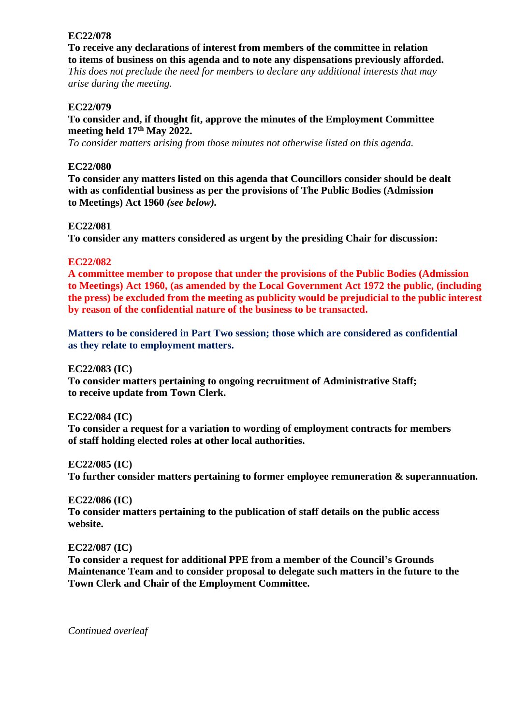# **EC22/078**

**To receive any declarations of interest from members of the committee in relation to items of business on this agenda and to note any dispensations previously afforded.** 

*This does not preclude the need for members to declare any additional interests that may arise during the meeting.*

# **EC22/079**

# **To consider and, if thought fit, approve the minutes of the Employment Committee meeting held 17th May 2022.**

*To consider matters arising from those minutes not otherwise listed on this agenda.*

# **EC22/080**

**To consider any matters listed on this agenda that Councillors consider should be dealt with as confidential business as per the provisions of The Public Bodies (Admission to Meetings) Act 1960** *(see below).*

# **EC22/081**

**To consider any matters considered as urgent by the presiding Chair for discussion:**

# **EC22/082**

**A committee member to propose that under the provisions of the Public Bodies (Admission to Meetings) Act 1960, (as amended by the Local Government Act 1972 the public, (including the press) be excluded from the meeting as publicity would be prejudicial to the public interest by reason of the confidential nature of the business to be transacted.**

**Matters to be considered in Part Two session; those which are considered as confidential as they relate to employment matters.**

# **EC22/083 (IC)**

**To consider matters pertaining to ongoing recruitment of Administrative Staff; to receive update from Town Clerk.**

# **EC22/084 (IC)**

**To consider a request for a variation to wording of employment contracts for members of staff holding elected roles at other local authorities.**

**EC22/085 (IC)**

**To further consider matters pertaining to former employee remuneration & superannuation.**

# **EC22/086 (IC)**

**To consider matters pertaining to the publication of staff details on the public access website.**

# **EC22/087 (IC)**

**To consider a request for additional PPE from a member of the Council's Grounds Maintenance Team and to consider proposal to delegate such matters in the future to the Town Clerk and Chair of the Employment Committee.**

*Continued overleaf*